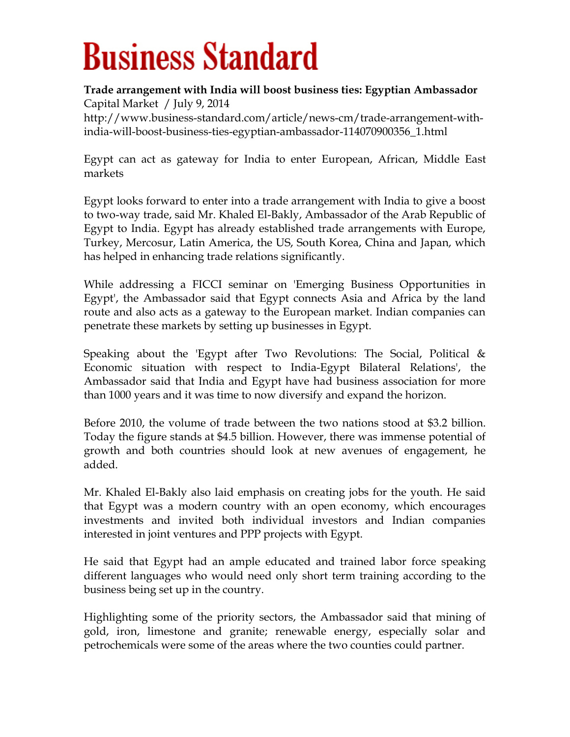## **Business Standard**

## **Trade arrangement with India will boost business ties: Egyptian Ambassador** Capital Market / July 9, 2014

[http://www.business-standard.com/article/news-cm/trade-arrangement-with](http://www.business-standard.com/article/news-cm/trade-arrangement-with-india-will-boost-business-ties-egyptian-ambassador-114070900356_1.html)[india-will-boost-business-ties-egyptian-ambassador-114070900356\\_1.html](http://www.business-standard.com/article/news-cm/trade-arrangement-with-india-will-boost-business-ties-egyptian-ambassador-114070900356_1.html)

[Egypt](http://www.business-standard.com/search?type=news&q=Egypt) can act as gateway for [India](http://www.business-standard.com/search?type=news&q=India) to enter European, African, Middle East markets

Egypt looks forward to enter into a trade arrangement with India to give a boost to two-way trade, said Mr. Khaled El-Bakly, Ambassador of the Arab Republic of Egypt to India. Egypt has already established trade arrangements with Europe, Turkey, Mercosur, Latin America, the US, South Korea, China and Japan, which has helped in enhancing trade relations significantly.

While addressing a FICCI seminar on 'Emerging Business Opportunities in Egypt', the Ambassador said that Egypt connects Asia and Africa by the land route and also acts as a gateway to the European market. Indian companies can penetrate these markets by setting up businesses in Egypt.

Speaking about the 'Egypt after Two Revolutions: The Social, Political & Economic situation with respect to India-Egypt Bilateral Relations', the Ambassador said that India and Egypt have had business association for more than 1000 years and it was time to now diversify and expand the horizon.

Before 2010, the volume of trade between the two nations stood at \$3.2 billion. Today the figure stands at \$4.5 billion. However, there was immense potential of growth and both countries should look at new avenues of engagement, he added.

Mr. Khaled El-Bakly also laid emphasis on creating jobs for the youth. He said that Egypt was a modern country with an open economy, which encourages investments and invited both individual investors and Indian companies interested in joint ventures and PPP projects with Egypt.

He said that Egypt had an ample educated and trained labor force speaking different languages who would need only short term training according to the business being set up in the country.

Highlighting some of the priority sectors, the Ambassador said that mining of gold, iron, limestone and granite; renewable energy, especially solar and petrochemicals were some of the areas where the two counties could partner.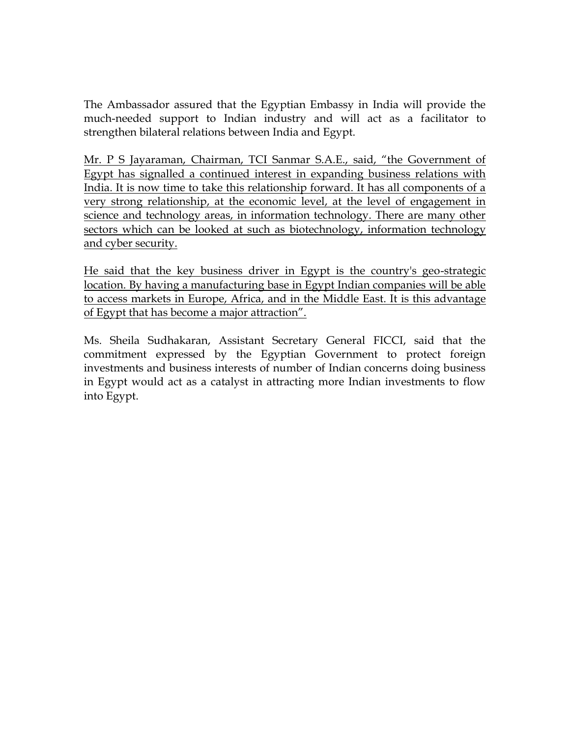The Ambassador assured that the Egyptian Embassy in India will provide the much-needed support to Indian industry and will act as a facilitator to strengthen bilateral relations between India and Egypt.

Mr. P S Jayaraman, Chairman, TCI Sanmar S.A.E., said, "the Government of Egypt has signalled a continued interest in expanding business relations with India. It is now time to take this relationship forward. It has all components of a very strong relationship, at the economic level, at the level of engagement in science and technology areas, in information technology. There are many other sectors which can be looked at such as biotechnology, information technology and cyber security.

He said that the key business driver in Egypt is the country's geo-strategic location. By having a manufacturing base in Egypt Indian companies will be able to access markets in Europe, Africa, and in the Middle East. It is this advantage of Egypt that has become a major attraction".

Ms. Sheila Sudhakaran, Assistant Secretary General FICCI, said that the commitment expressed by the Egyptian Government to protect foreign investments and business interests of number of Indian concerns doing business in Egypt would act as a catalyst in attracting more Indian investments to flow into Egypt.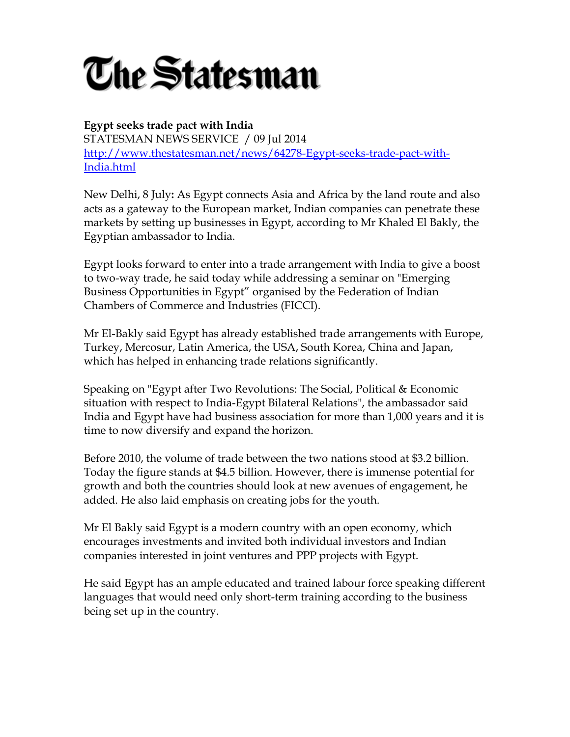

**Egypt seeks trade pact with India** STATESMAN NEWS SERVICE / 09 Jul 2014 [http://www.thestatesman.net/news/64278-Egypt-seeks-trade-pact-with-](http://www.thestatesman.net/news/64278-Egypt-seeks-trade-pact-with-India.html)[India.html](http://www.thestatesman.net/news/64278-Egypt-seeks-trade-pact-with-India.html)

New Delhi, 8 July**:** As Egypt connects Asia and Africa by the land route and also acts as a gateway to the European market, Indian companies can penetrate these markets by setting up businesses in Egypt, according to Mr Khaled El Bakly, the Egyptian ambassador to India.

Egypt looks forward to enter into a trade arrangement with India to give a boost to two-way trade, he said today while addressing a seminar on "Emerging Business Opportunities in Egypt" organised by the Federation of Indian Chambers of Commerce and Industries (FICCI).

Mr El-Bakly said Egypt has already established trade arrangements with Europe, Turkey, Mercosur, Latin America, the USA, South Korea, China and Japan, which has helped in enhancing trade relations significantly.

Speaking on "Egypt after Two Revolutions: The Social, Political & Economic situation with respect to India-Egypt Bilateral Relations", the ambassador said India and Egypt have had business association for more than 1,000 years and it is time to now diversify and expand the horizon.

Before 2010, the volume of trade between the two nations stood at \$3.2 billion. Today the figure stands at \$4.5 billion. However, there is immense potential for growth and both the countries should look at new avenues of engagement, he added. He also laid emphasis on creating jobs for the youth.

Mr El Bakly said Egypt is a modern country with an open economy, which encourages investments and invited both individual investors and Indian companies interested in joint ventures and PPP projects with Egypt.

He said Egypt has an ample educated and trained labour force speaking different languages that would need only short-term training according to the business being set up in the country.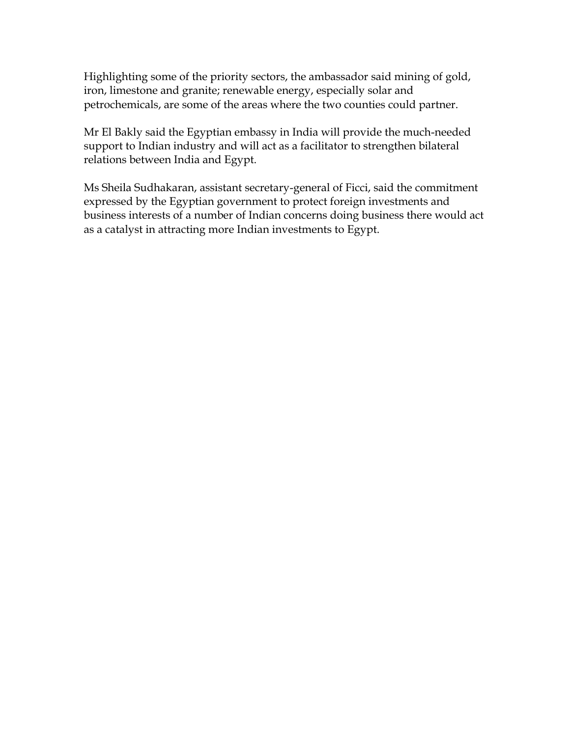Highlighting some of the priority sectors, the ambassador said mining of gold, iron, limestone and granite; renewable energy, especially solar and petrochemicals, are some of the areas where the two counties could partner.

Mr El Bakly said the Egyptian embassy in India will provide the much-needed support to Indian industry and will act as a facilitator to strengthen bilateral relations between India and Egypt.

Ms Sheila Sudhakaran, assistant secretary-general of Ficci, said the commitment expressed by the Egyptian government to protect foreign investments and business interests of a number of Indian concerns doing business there would act as a catalyst in attracting more Indian investments to Egypt.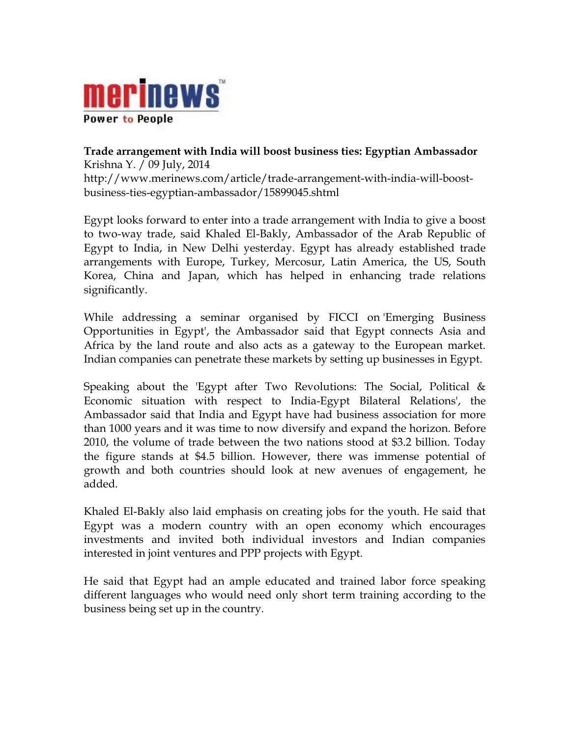

**Trade arrangement with India will boost business ties: Egyptian Ambassador**  [Krishna Y.](http://www.merinews.com/cj/Krishna%20Yadav) / [09 July, 2014](http://www.merinews.com/date/09-July-2014) [http://www.merinews.com/article/trade-arrangement-with-india-will-boost](http://www.merinews.com/article/trade-arrangement-with-india-will-boost-business-ties-egyptian-ambassador/15899045.shtml)[business-ties-egyptian-ambassador/15899045.shtml](http://www.merinews.com/article/trade-arrangement-with-india-will-boost-business-ties-egyptian-ambassador/15899045.shtml)

Egypt looks forward to enter into a trade arrangement with India to give a boost to two-way trade, said Khaled El-Bakly, Ambassador of the Arab Republic of Egypt to India, in New Delhi yesterday. Egypt has already established trade arrangements with Europe, Turkey, Mercosur, Latin America, the US, South Korea, China and Japan, which has helped in enhancing trade relations significantly.

While addressing a seminar organised by FICCI on 'Emerging Business Opportunities in Egypt', the Ambassador said that Egypt connects Asia and Africa by the land route and also acts as a gateway to the European market. Indian companies can penetrate these markets by setting up businesses in Egypt.

Speaking about the 'Egypt after Two Revolutions: The Social, Political & Economic situation with respect to India-Egypt Bilateral Relations', the Ambassador said that [India](http://indianews.merinews.com/) and Egypt have had business association for more than 1000 years and it was time to now diversify and expand the horizon. Before 2010, the volume of trade between the two nations stood at \$3.2 billion. Today the figure stands at \$4.5 billion. However, there was immense potential of growth and both countries should look at new avenues of engagement, he added.

Khaled El-Bakly also laid emphasis on creating jobs for the youth. He said that Egypt was a modern country with an open economy which encourages investments and invited both individual investors and Indian companies interested in joint ventures and PPP projects with Egypt.

He said that Egypt had an ample educated and trained labor force speaking different languages who would need only short term training according to the [business](http://businessnews.merinews.com/) being set up in the country.